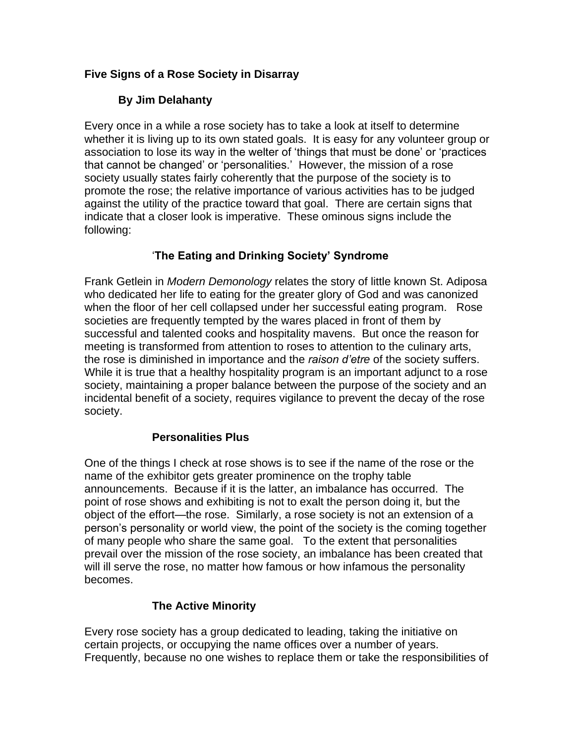## **Five Signs of a Rose Society in Disarray**

# **By Jim Delahanty**

Every once in a while a rose society has to take a look at itself to determine whether it is living up to its own stated goals. It is easy for any volunteer group or association to lose its way in the welter of 'things that must be done' or 'practices that cannot be changed' or 'personalities.' However, the mission of a rose society usually states fairly coherently that the purpose of the society is to promote the rose; the relative importance of various activities has to be judged against the utility of the practice toward that goal. There are certain signs that indicate that a closer look is imperative. These ominous signs include the following:

# '**The Eating and Drinking Society' Syndrome**

Frank Getlein in *Modern Demonology* relates the story of little known St. Adiposa who dedicated her life to eating for the greater glory of God and was canonized when the floor of her cell collapsed under her successful eating program. Rose societies are frequently tempted by the wares placed in front of them by successful and talented cooks and hospitality mavens. But once the reason for meeting is transformed from attention to roses to attention to the culinary arts, the rose is diminished in importance and the *raison d'etre* of the society suffers. While it is true that a healthy hospitality program is an important adjunct to a rose society, maintaining a proper balance between the purpose of the society and an incidental benefit of a society, requires vigilance to prevent the decay of the rose society.

#### **Personalities Plus**

One of the things I check at rose shows is to see if the name of the rose or the name of the exhibitor gets greater prominence on the trophy table announcements. Because if it is the latter, an imbalance has occurred. The point of rose shows and exhibiting is not to exalt the person doing it, but the object of the effort—the rose. Similarly, a rose society is not an extension of a person's personality or world view, the point of the society is the coming together of many people who share the same goal. To the extent that personalities prevail over the mission of the rose society, an imbalance has been created that will ill serve the rose, no matter how famous or how infamous the personality becomes.

### **The Active Minority**

Every rose society has a group dedicated to leading, taking the initiative on certain projects, or occupying the name offices over a number of years. Frequently, because no one wishes to replace them or take the responsibilities of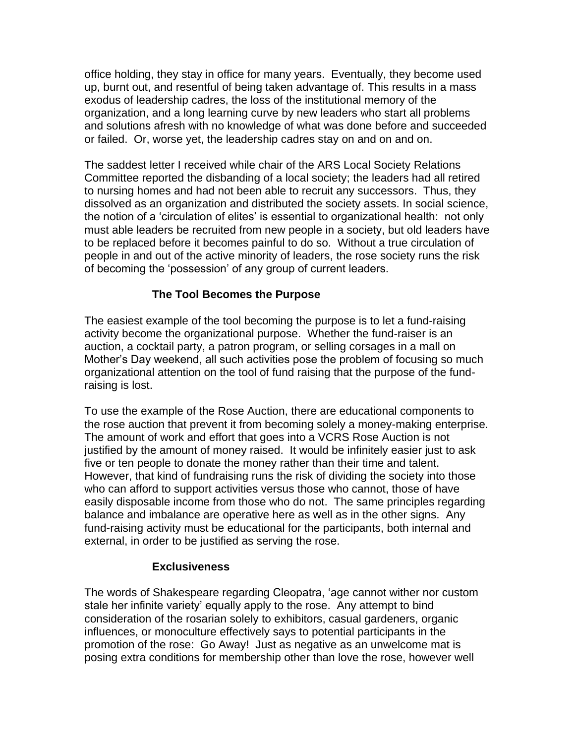office holding, they stay in office for many years. Eventually, they become used up, burnt out, and resentful of being taken advantage of. This results in a mass exodus of leadership cadres, the loss of the institutional memory of the organization, and a long learning curve by new leaders who start all problems and solutions afresh with no knowledge of what was done before and succeeded or failed. Or, worse yet, the leadership cadres stay on and on and on.

The saddest letter I received while chair of the ARS Local Society Relations Committee reported the disbanding of a local society; the leaders had all retired to nursing homes and had not been able to recruit any successors. Thus, they dissolved as an organization and distributed the society assets. In social science, the notion of a 'circulation of elites' is essential to organizational health: not only must able leaders be recruited from new people in a society, but old leaders have to be replaced before it becomes painful to do so. Without a true circulation of people in and out of the active minority of leaders, the rose society runs the risk of becoming the 'possession' of any group of current leaders.

### **The Tool Becomes the Purpose**

The easiest example of the tool becoming the purpose is to let a fund-raising activity become the organizational purpose. Whether the fund-raiser is an auction, a cocktail party, a patron program, or selling corsages in a mall on Mother's Day weekend, all such activities pose the problem of focusing so much organizational attention on the tool of fund raising that the purpose of the fundraising is lost.

To use the example of the Rose Auction, there are educational components to the rose auction that prevent it from becoming solely a money-making enterprise. The amount of work and effort that goes into a VCRS Rose Auction is not justified by the amount of money raised. It would be infinitely easier just to ask five or ten people to donate the money rather than their time and talent. However, that kind of fundraising runs the risk of dividing the society into those who can afford to support activities versus those who cannot, those of have easily disposable income from those who do not. The same principles regarding balance and imbalance are operative here as well as in the other signs. Any fund-raising activity must be educational for the participants, both internal and external, in order to be justified as serving the rose.

#### **Exclusiveness**

The words of Shakespeare regarding Cleopatra, 'age cannot wither nor custom stale her infinite variety' equally apply to the rose. Any attempt to bind consideration of the rosarian solely to exhibitors, casual gardeners, organic influences, or monoculture effectively says to potential participants in the promotion of the rose: Go Away! Just as negative as an unwelcome mat is posing extra conditions for membership other than love the rose, however well